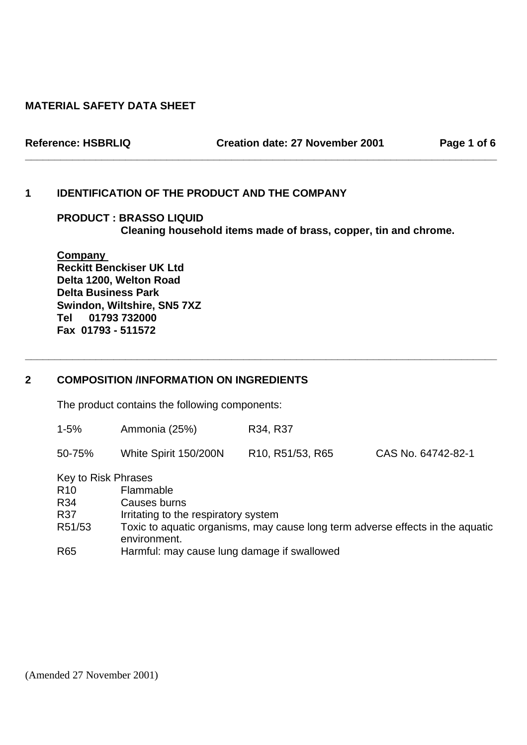## **MATERIAL SAFETY DATA SHEET**

**Reference: HSBRLIQ Creation date: 27 November 2001 Page 1 of 6** 

## **1 IDENTIFICATION OF THE PRODUCT AND THE COMPANY**

 **PRODUCT : BRASSO LIQUID Cleaning household items made of brass, copper, tin and chrome.** 

**\_\_\_\_\_\_\_\_\_\_\_\_\_\_\_\_\_\_\_\_\_\_\_\_\_\_\_\_\_\_\_\_\_\_\_\_\_\_\_\_\_\_\_\_\_\_\_\_\_\_\_\_\_\_\_\_\_\_\_\_\_\_\_\_\_\_\_\_\_\_\_\_\_\_\_\_\_\_\_\_** 

**Company Reckitt Benckiser UK Ltd Delta 1200, Welton Road Delta Business Park Swindon, Wiltshire, SN5 7XZ Tel 01793 732000 Fax 01793 - 511572** 

## **2 COMPOSITION /INFORMATION ON INGREDIENTS**

The product contains the following components:

| Ammonia (25%)<br>R34, R37<br>$1 - 5%$ |  |
|---------------------------------------|--|
|---------------------------------------|--|

**\_\_\_\_\_\_\_\_\_\_\_\_\_\_\_\_\_\_\_\_\_\_\_\_\_\_\_\_\_\_\_\_\_\_\_\_\_\_\_\_\_\_\_\_\_\_\_\_\_\_\_\_\_\_\_\_\_\_\_\_\_\_\_\_\_\_\_\_\_\_\_\_\_\_\_\_\_\_\_\_** 

Key to Risk Phrases

| R <sub>10</sub> | Flammable                                                                                      |
|-----------------|------------------------------------------------------------------------------------------------|
| R34             | Causes burns                                                                                   |
| R37             | Irritating to the respiratory system                                                           |
| R51/53          | Toxic to aquatic organisms, may cause long term adverse effects in the aquatic<br>environment. |
| R65             | Harmful: may cause lung damage if swallowed                                                    |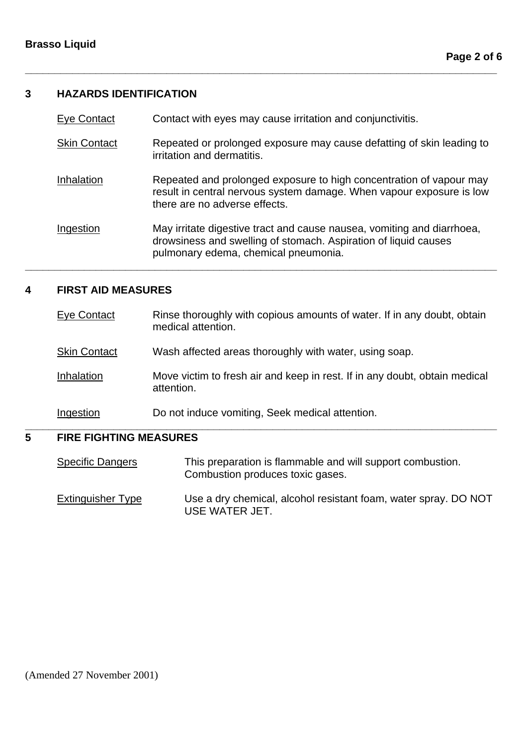## **3 HAZARDS IDENTIFICATION**

| Eye Contact         | Contact with eyes may cause irritation and conjunctivitis.                                                                                                                        |
|---------------------|-----------------------------------------------------------------------------------------------------------------------------------------------------------------------------------|
| <b>Skin Contact</b> | Repeated or prolonged exposure may cause defatting of skin leading to<br>irritation and dermatitis.                                                                               |
| Inhalation          | Repeated and prolonged exposure to high concentration of vapour may<br>result in central nervous system damage. When vapour exposure is low<br>there are no adverse effects.      |
| Ingestion           | May irritate digestive tract and cause nausea, vomiting and diarrhoea,<br>drowsiness and swelling of stomach. Aspiration of liquid causes<br>pulmonary edema, chemical pneumonia. |

**\_\_\_\_\_\_\_\_\_\_\_\_\_\_\_\_\_\_\_\_\_\_\_\_\_\_\_\_\_\_\_\_\_\_\_\_\_\_\_\_\_\_\_\_\_\_\_\_\_\_\_\_\_\_\_\_\_\_\_\_\_\_\_\_\_\_\_\_\_\_\_\_\_\_\_\_\_\_\_\_**

**\_\_\_\_\_\_\_\_\_\_\_\_\_\_\_\_\_\_\_\_\_\_\_\_\_\_\_\_\_\_\_\_\_\_\_\_\_\_\_\_\_\_\_\_\_\_\_\_\_\_\_\_\_\_\_\_\_\_\_\_\_\_\_\_\_\_\_\_\_\_\_\_\_\_\_\_\_\_\_\_** 

## **4 FIRST AID MEASURES**

| 5 | <b>FIRE FIGHTING MEASURES</b> |                                                                                               |
|---|-------------------------------|-----------------------------------------------------------------------------------------------|
|   | Ingestion                     | Do not induce vomiting, Seek medical attention.                                               |
|   | Inhalation                    | Move victim to fresh air and keep in rest. If in any doubt, obtain medical<br>attention.      |
|   | <b>Skin Contact</b>           | Wash affected areas thoroughly with water, using soap.                                        |
|   | Eye Contact                   | Rinse thoroughly with copious amounts of water. If in any doubt, obtain<br>medical attention. |

## **5 FIRE FIGHTING MEASURES**

Specific Dangers This preparation is flammable and will support combustion. Combustion produces toxic gases.

Extinguisher Type Use a dry chemical, alcohol resistant foam, water spray. DO NOT USE WATER JET.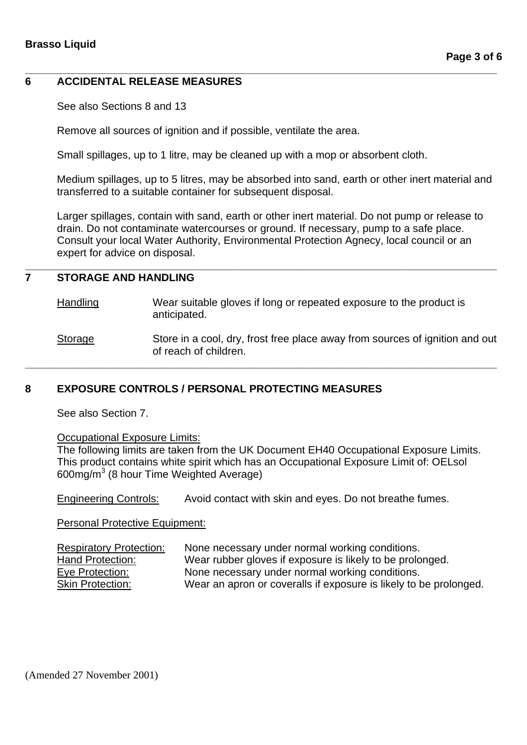## **6 ACCIDENTAL RELEASE MEASURES**

See also Sections 8 and 13

Remove all sources of ignition and if possible, ventilate the area.

Small spillages, up to 1 litre, may be cleaned up with a mop or absorbent cloth.

Medium spillages, up to 5 litres, may be absorbed into sand, earth or other inert material and transferred to a suitable container for subsequent disposal.

**\_\_\_\_\_\_\_\_\_\_\_\_\_\_\_\_\_\_\_\_\_\_\_\_\_\_\_\_\_\_\_\_\_\_\_\_\_\_\_\_\_\_\_\_\_\_\_\_\_\_\_\_\_\_\_\_\_\_\_\_\_\_\_\_\_\_\_\_\_\_\_\_\_\_\_\_\_\_\_\_** 

Larger spillages, contain with sand, earth or other inert material. Do not pump or release to drain. Do not contaminate watercourses or ground. If necessary, pump to a safe place. Consult your local Water Authority, Environmental Protection Agnecy, local council or an expert for advice on disposal.

# **7 STORAGE AND HANDLING**

Handling Wear suitable gloves if long or repeated exposure to the product is anticipated.

**\_\_\_\_\_\_\_\_\_\_\_\_\_\_\_\_\_\_\_\_\_\_\_\_\_\_\_\_\_\_\_\_\_\_\_\_\_\_\_\_\_\_\_\_\_\_\_\_\_\_\_\_\_\_\_\_\_\_\_\_\_\_\_\_\_\_\_\_\_\_\_\_\_\_\_\_\_\_\_\_** 

**\_\_\_\_\_\_\_\_\_\_\_\_\_\_\_\_\_\_\_\_\_\_\_\_\_\_\_\_\_\_\_\_\_\_\_\_\_\_\_\_\_\_\_\_\_\_\_\_\_\_\_\_\_\_\_\_\_\_\_\_\_\_\_\_\_\_\_\_\_\_\_\_\_\_\_\_\_\_\_\_** 

Storage Store in a cool, dry, frost free place away from sources of ignition and out of reach of children.

## **8 EXPOSURE CONTROLS / PERSONAL PROTECTING MEASURES**

See also Section 7.

### Occupational Exposure Limits:

The following limits are taken from the UK Document EH40 Occupational Exposure Limits. This product contains white spirit which has an Occupational Exposure Limit of: OELsol 600mg/m $3$  (8 hour Time Weighted Average)

Engineering Controls: Avoid contact with skin and eyes. Do not breathe fumes.

Personal Protective Equipment:

Respiratory Protection: None necessary under normal working conditions. Hand Protection: Wear rubber gloves if exposure is likely to be prolonged. Eye Protection: None necessary under normal working conditions. Skin Protection: Wear an apron or coveralls if exposure is likely to be prolonged.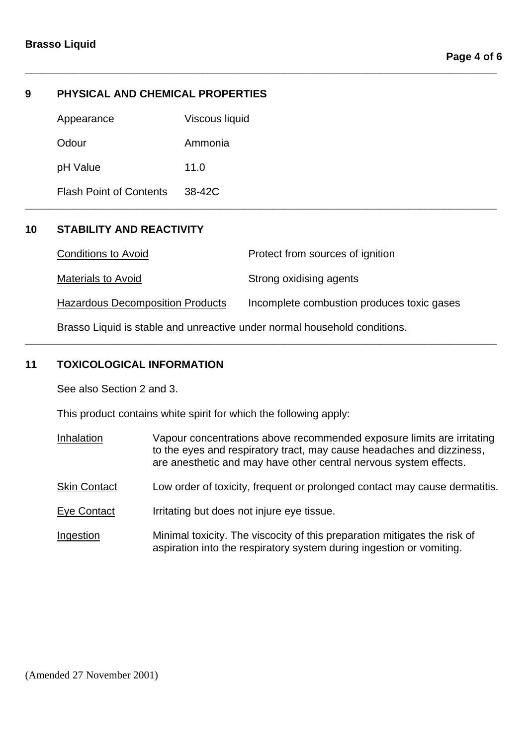## **9 PHYSICAL AND CHEMICAL PROPERTIES**

| Appearance                     | Viscous liquid |  |
|--------------------------------|----------------|--|
| Odour                          | Ammonia        |  |
| pH Value                       | 11.0           |  |
| <b>Flash Point of Contents</b> | 38-42C         |  |

## **10 STABILITY AND REACTIVITY**

| <b>Conditions to Avoid</b>              | Protect from sources of ignition           |
|-----------------------------------------|--------------------------------------------|
| <b>Materials to Avoid</b>               | Strong oxidising agents                    |
| <b>Hazardous Decomposition Products</b> | Incomplete combustion produces toxic gases |

**\_\_\_\_\_\_\_\_\_\_\_\_\_\_\_\_\_\_\_\_\_\_\_\_\_\_\_\_\_\_\_\_\_\_\_\_\_\_\_\_\_\_\_\_\_\_\_\_\_\_\_\_\_\_\_\_\_\_\_\_\_\_\_\_\_\_\_\_\_\_\_\_\_\_\_\_\_\_\_\_** 

**\_\_\_\_\_\_\_\_\_\_\_\_\_\_\_\_\_\_\_\_\_\_\_\_\_\_\_\_\_\_\_\_\_\_\_\_\_\_\_\_\_\_\_\_\_\_\_\_\_\_\_\_\_\_\_\_\_\_\_\_\_\_\_\_\_\_\_\_\_\_\_\_\_\_\_\_\_\_\_\_** 

**\_\_\_\_\_\_\_\_\_\_\_\_\_\_\_\_\_\_\_\_\_\_\_\_\_\_\_\_\_\_\_\_\_\_\_\_\_\_\_\_\_\_\_\_\_\_\_\_\_\_\_\_\_\_\_\_\_\_\_\_\_\_\_\_\_\_\_\_\_\_\_\_\_\_\_\_\_\_\_\_** 

Brasso Liquid is stable and unreactive under normal household conditions.

## **11 TOXICOLOGICAL INFORMATION**

See also Section 2 and 3.

This product contains white spirit for which the following apply:

- Inhalation Vapour concentrations above recommended exposure limits are irritating to the eyes and respiratory tract, may cause headaches and dizziness, are anesthetic and may have other central nervous system effects.
- Skin Contact Low order of toxicity, frequent or prolonged contact may cause dermatitis.
- Eye Contact Irritating but does not injure eye tissue.
- Ingestion Minimal toxicity. The viscocity of this preparation mitigates the risk of aspiration into the respiratory system during ingestion or vomiting.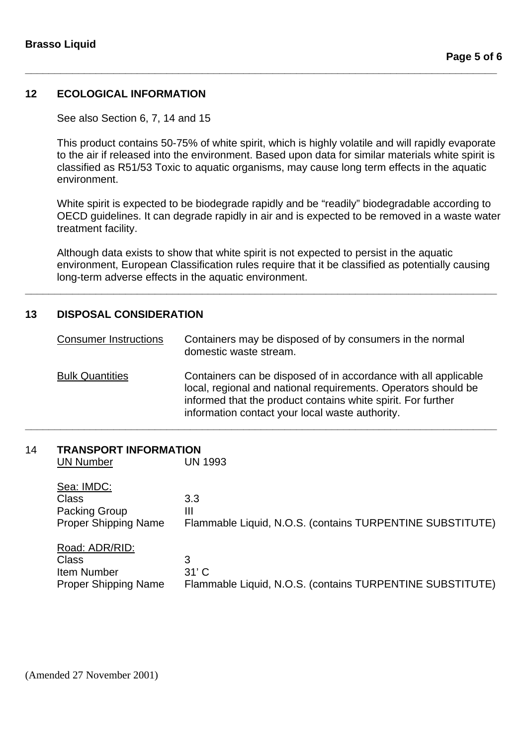## **12 ECOLOGICAL INFORMATION**

See also Section 6, 7, 14 and 15

This product contains 50-75% of white spirit, which is highly volatile and will rapidly evaporate to the air if released into the environment. Based upon data for similar materials white spirit is classified as R51/53 Toxic to aquatic organisms, may cause long term effects in the aquatic environment.

**\_\_\_\_\_\_\_\_\_\_\_\_\_\_\_\_\_\_\_\_\_\_\_\_\_\_\_\_\_\_\_\_\_\_\_\_\_\_\_\_\_\_\_\_\_\_\_\_\_\_\_\_\_\_\_\_\_\_\_\_\_\_\_\_\_\_\_\_\_\_\_\_\_\_\_\_\_\_\_\_** 

White spirit is expected to be biodegrade rapidly and be "readily" biodegradable according to OECD guidelines. It can degrade rapidly in air and is expected to be removed in a waste water treatment facility.

Although data exists to show that white spirit is not expected to persist in the aquatic environment, European Classification rules require that it be classified as potentially causing long-term adverse effects in the aquatic environment.

**\_\_\_\_\_\_\_\_\_\_\_\_\_\_\_\_\_\_\_\_\_\_\_\_\_\_\_\_\_\_\_\_\_\_\_\_\_\_\_\_\_\_\_\_\_\_\_\_\_\_\_\_\_\_\_\_\_\_\_\_\_\_\_\_\_\_\_\_\_\_\_\_\_\_\_\_\_\_\_\_** 

## **13 DISPOSAL CONSIDERATION**

| <b>Consumer Instructions</b> | Containers may be disposed of by consumers in the normal<br>domestic waste stream.                                                                                                                                                                   |
|------------------------------|------------------------------------------------------------------------------------------------------------------------------------------------------------------------------------------------------------------------------------------------------|
| <b>Bulk Quantities</b>       | Containers can be disposed of in accordance with all applicable<br>local, regional and national requirements. Operators should be<br>informed that the product contains white spirit. For further<br>information contact your local waste authority. |

#### 14 **TRANSPORT INFORMATION** UN Number

| UN Number                                                                    | UN 1993                                                                   |
|------------------------------------------------------------------------------|---------------------------------------------------------------------------|
| Sea: IMDC:<br>Class<br>Packing Group<br><b>Proper Shipping Name</b>          | 3.3<br>Ш<br>Flammable Liquid, N.O.S. (contains TURPENTINE SUBSTITUTE)     |
| Road: ADR/RID:<br>Class<br><b>Item Number</b><br><b>Proper Shipping Name</b> | 3<br>$31'$ C<br>Flammable Liquid, N.O.S. (contains TURPENTINE SUBSTITUTE) |